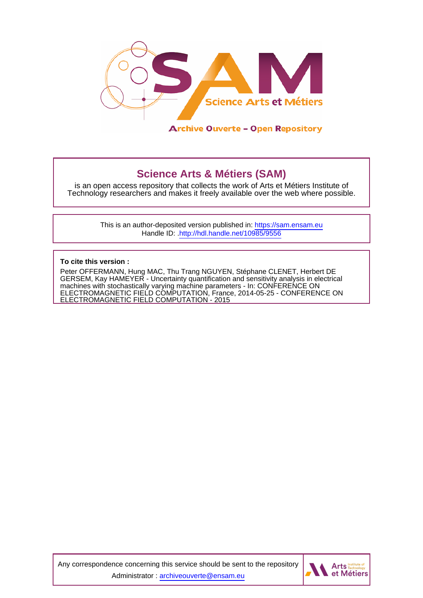

**Archive Ouverte - Open Repository** 

# **Science Arts & Métiers (SAM)**

is an open access repository that collects the work of Arts et Métiers Institute of Technology researchers and makes it freely available over the web where possible.

> This is an author-deposited version published in:<https://sam.ensam.eu> Handle ID: [.http://hdl.handle.net/10985/9556](http://hdl.handle.net/10985/9556)

**To cite this version :**

Peter OFFERMANN, Hung MAC, Thu Trang NGUYEN, Stéphane CLENET, Herbert DE GERSEM, Kay HAMEYER - Uncertainty quantification and sensitivity analysis in electrical machines with stochastically varying machine parameters - In: CONFERENCE ON ELECTROMAGNETIC FIELD COMPUTATION, France, 2014-05-25 - CONFERENCE ON ELECTROMAGNETIC FIELD COMPUTATION - 2015

Any correspondence concerning this service should be sent to the repository Administrator : [archiveouverte@ensam.eu](mailto:archiveouverte@ensam.eu)

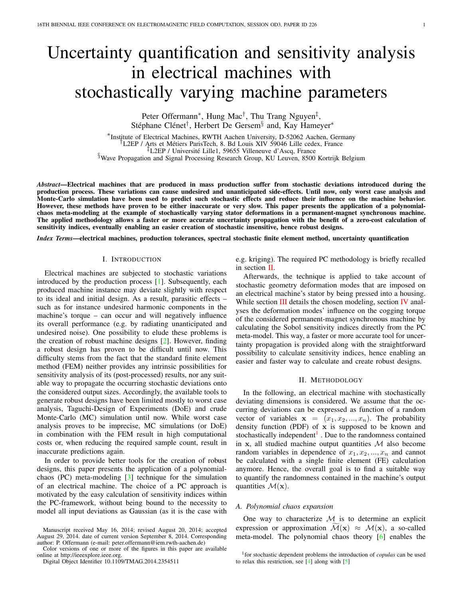# Uncertainty quantification and sensitivity analysis in electrical machines with stochastically varying machine parameters

Peter Offermann<sup>∗</sup>, Hung Mac<sup>†</sup>, Thu Trang Nguyen<sup>‡</sup>, Stéphane Clénet<sup>†</sup>, Herbert De Gersem<sup>§</sup> and, Kay Hameyer<sup>\*</sup>

\*Institute of Electrical Machines, RWTH Aachen University, D-52062 Aachen, Germany Institute of Electrical Machines, RWTH Aachen University, D-52062 Aachen, Germany †L2EP / Arts et Metiers ParisTech, 8. Bd Louis XIV 59046 Lille cedex, France ´ ‡L2EP / Universite Lille1, 59655 Villeneuve d'Ascq, France ´ §Wave Propagation and Signal Processing Research Group, KU Leuven, 8500 Kortrijk Belgium

*Abstract*—Electrical machines that are produced in mass production suffer from stochastic deviations introduced during the production process. These variations can cause undesired and unanticipated side-effects. Until now, only worst case analysis and Monte-Carlo simulation have been used to predict such stochastic effects and reduce their influence on the machine behavior. However, these methods have proven to be either inaccurate or very slow. This paper presents the application of a polynomialchaos meta-modeling at the example of stochastically varying stator deformations in a permanent-magnet synchronous machine. The applied methodology allows a faster or more accurate uncertainty propagation with the benefit of a zero-cost calculation of sensitivity indices, eventually enabling an easier creation of stochastic insensitive, hence robust designs.

*Index Terms*—electrical machines, production tolerances, spectral stochastic finite element method, uncertainty quantification

#### I. INTRODUCTION

Electrical machines are subjected to stochastic variations introduced by the production process [\[1\]](#page-4-0). Subsequently, each produced machine instance may deviate slightly with respect to its ideal and initial design. As a result, parasitic effects – such as for instance undesired harmonic components in the machine's torque – can occur and will negatively influence its overall performance (e.g. by radiating unanticipated and undesired noise). One possibility to elude these problems is the creation of robust machine designs [\[2\]](#page-4-1). However, finding a robust design has proven to be difficult until now. This difficulty stems from the fact that the standard finite element method (FEM) neither provides any intrinsic possibilities for sensitivity analysis of its (post-processed) results, nor any suitable way to propagate the occurring stochastic deviations onto the considered output sizes. Accordingly, the available tools to generate robust designs have been limited mostly to worst case analysis, Taguchi-Design of Experiments (DoE) and crude Monte-Carlo (MC) simulation until now. While worst case analysis proves to be imprecise, MC simulations (or DoE) in combination with the FEM result in high computational costs or, when reducing the required sample count, result in inaccurate predictions again.

In order to provide better tools for the creation of robust designs, this paper presents the application of a polynomialchaos (PC) meta-modeling  $[3]$  technique for the simulation of an electrical machine. The choice of a PC approach is motivated by the easy calculation of sensitivity indices within the PC-framework, without being bound to the necessity to model all input deviations as Gaussian (as it is the case with

Color versions of one or more of the figures in this paper are available online at http://ieeexplore.ieee.org.

e.g. kriging). The required PC methodology is briefly recalled in section [II.](#page-1-0)

Afterwards, the technique is applied to take account of stochastic geometry deformation modes that are imposed on an electrical machine's stator by being pressed into a housing. While section  $III$  details the chosen modeling, section [IV](#page-3-0) analyses the deformation modes' influence on the cogging torque of the considered permanent-magnet synchronous machine by calculating the Sobol sensitivity indices directly from the PC meta-model. This way, a faster or more accurate tool for uncertainty propagation is provided along with the straightforward possibility to calculate sensitivity indices, hence enabling an easier and faster way to calculate and create robust designs.

#### II. METHODOLOGY

<span id="page-1-0"></span>In the following, an electrical machine with stochastically deviating dimensions is considered. We assume that the occurring deviations can be expressed as function of a random vector of variables  $x = (x_1, x_2, ..., x_n)$ . The probability density function (PDF) of  $x$  is supposed to be known and stochastically independent<sup>1</sup>. Due to the randomness contained in x, all studied machine output quantities  $M$  also become random variables in dependence of  $x_1, x_2, ..., x_n$  and cannot be calculated with a single finite element (FE) calculation anymore. Hence, the overall goal is to find a suitable way to quantify the randomness contained in the machine's output quantities  $\mathcal{M}(\mathbf{x})$ .

# *A. Polynomial chaos expansion*

One way to characterize  $M$  is to determine an explicit expression or approximation  $\mathcal{M}(\mathbf{x}) \approx \mathcal{M}(\mathbf{x})$ , a so-called meta-model. The polynomial chaos theory [\[6\]](#page-4-3) enables the

Manuscript received May 16, 2014; revised August 20, 2014; accepted August 29, 2014. date of current version September 8, 2014. Corresponding author: P. Offermann (e-mail: peter.offermann@iem.rwth-aachen.de)

Digital Object Identifier 10.1109/TMAG.2014.2354511

<sup>&</sup>lt;sup>1</sup> for stochastic dependent problems the introduction of *copulas* can be used to relax this restriction, see [\[4\]](#page-4-4) along with [\[5\]](#page-4-5)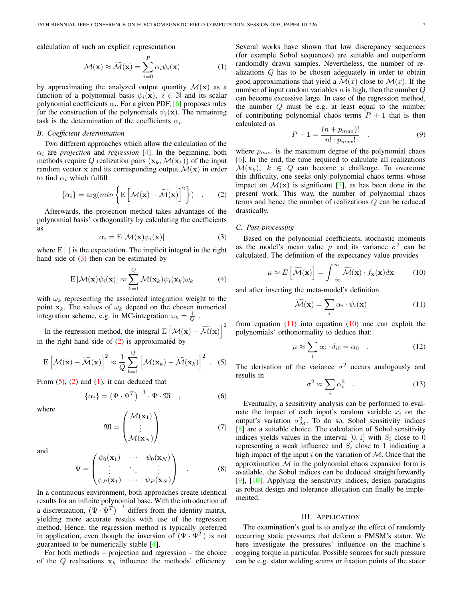calculation of such an explicit representation

<span id="page-2-4"></span>
$$
\mathcal{M}(\mathbf{x}) \approx \widetilde{\mathcal{M}}(\mathbf{x}) = \sum_{i=0}^{P} \alpha_i \psi_i(\mathbf{x})
$$
 (1)

by approximating the analyzed output quantity  $\mathcal{M}(x)$  as a function of a polynomial basis  $\psi_i(\mathbf{x})$ ,  $i \in \mathbb{N}$  and its scalar polynomial coefficients  $\alpha_i$ . For a given PDF, [\[6\]](#page-4-3) proposes rules for the construction of the polynomials  $\psi_i(\mathbf{x})$ . The remaining task is the determination of the coefficients  $\alpha_i$ .

### *B. Coefficient determination*

Two different approaches which allow the calculation of the  $\alpha_i$  are *projection* and *regression* [\[4\]](#page-4-4). In the beginning, both methods require Q realization pairs  $(\mathbf{x}_k, \mathcal{M}(\mathbf{x}_k))$  of the input random vector x and its corresponding output  $\mathcal{M}(x)$  in order to find  $\alpha_i$  which fulfill

<span id="page-2-2"></span>
$$
\{\alpha_i\} = \arg(min\left\{ \mathbf{E} \left[ \mathcal{M}(\mathbf{x}) - \widetilde{\mathcal{M}}(\mathbf{x}) \right]^2 \right\}) \quad . \tag{2}
$$

Afterwards, the projection method takes advantage of the polynomial basis' orthogonality by calculating the coefficients as

<span id="page-2-1"></span>
$$
\alpha_i = \mathcal{E}\left[\mathcal{M}(\mathbf{x})\psi_i(\mathbf{x})\right]
$$
 (3)

where  $E[\ ]$  is the expectation. The implicit integral in the right hand side of  $(3)$  then can be estimated by

$$
\mathbf{E}\left[\mathcal{M}(\mathbf{x})\psi_i(\mathbf{x})\right] \approx \sum_{k=1}^Q \mathcal{M}(\mathbf{x}_k)\psi_i(\mathbf{x}_k)\omega_k \tag{4}
$$

with  $\omega_k$  representing the associated integration weight to the point  $x_k$ . The values of  $\omega_k$  depend on the chosen numerical integration scheme, e.g. in MC-integration  $\omega_k = \frac{1}{Q}$ .

In the regression method, the integral  $E\left[\mathcal{M}(\mathbf{x}) - \widetilde{\mathcal{M}}(\mathbf{x})\right]^2$ in the right hand side of  $(2)$  is approximated by

<span id="page-2-3"></span>
$$
\mathbf{E}\left[\mathcal{M}(\mathbf{x}) - \widetilde{\mathcal{M}}(\mathbf{x})\right]^2 \approx \frac{1}{Q} \sum_{k=1}^{Q} \left[\mathcal{M}(\mathbf{x}_k) - \widetilde{\mathcal{M}}(\mathbf{x}_k)\right]^2. \quad (5)
$$

From  $(5)$ ,  $(2)$  and  $(1)$ , it can deduced that

$$
\{\alpha_i\} = \left(\Psi \cdot \Psi^T\right)^{-1} \cdot \Psi \cdot \mathfrak{M} \quad , \tag{6}
$$

where

$$
\mathfrak{M} = \begin{pmatrix} \mathcal{M}(\mathbf{x}_1) \\ \vdots \\ \mathcal{M}(\mathbf{x}_N) \end{pmatrix} \tag{7}
$$

and

$$
\Psi = \begin{pmatrix} \psi_0(\mathbf{x}_1) & \cdots & \psi_0(\mathbf{x}_N) \\ \vdots & \ddots & \vdots \\ \psi_P(\mathbf{x}_1) & \cdots & \psi_P(\mathbf{x}_N) \end{pmatrix} . \tag{8}
$$

In a continuous environment, both approaches create identical results for an infinite polynomial base. With the introduction of a discretization,  $(\Psi \cdot \Psi^{T})^{-1}$  differs from the identity matrix, yielding more accurate results with use of the regression method. Hence, the regression method is typically preferred in application, even though the inversion of  $(\Psi \cdot \Psi^T)$  is not guaranteed to be numerically stable [\[4\]](#page-4-4).

For both methods – projection and regression – the choice of the  $Q$  realisations  $x_k$  influence the methods' efficiency.

Several works have shown that low discrepancy sequences (for example Sobol sequences) are suitable and outperform randomdly drawn samples. Nevertheless, the number of realizations Q has to be chosen adequately in order to obtain good approximations that yield a  $\mathcal{M}(x)$  close to  $\mathcal{M}(x)$ . If the number of input random variables  $n$  is high, then the number  $Q$ can become excessive large. In case of the regression method, the number  $Q$  must be e.g. at least equal to the number of contributing polynomial chaos terms  $P + 1$  that is then calculated as

$$
P + 1 = \frac{(n + p_{max})!}{n! \cdot p_{max}!} \quad , \tag{9}
$$

where  $p_{max}$  is the maximum degree of the polynomial chaos [\[6\]](#page-4-3). In the end, the time required to calculate all realizations  $\mathcal{M}(\mathbf{x}_k)$ ,  $k \in Q$  can become a challenge. To overcome this difficulty, one seeks only polynomial chaos terms whose impact on  $\mathcal{M}(x)$  is significant [\[7\]](#page-4-6), as has been done in the present work. This way, the number of polynomial chaos terms and hence the number of realizations Q can be reduced drastically.

# *C. Post-processing*

Based on the polynomial coefficients, stochastic moments as the model's mean value  $\mu$  and its variance  $\sigma^2$  can be calculated. The definition of the expectancy value provides

<span id="page-2-6"></span>
$$
\mu \approx E\left[\widetilde{\mathcal{M}}(\mathbf{x})\right] = \int_{-\infty}^{\infty} \widetilde{\mathcal{M}}(\mathbf{x}) \cdot f_{\mathbf{x}}(\mathbf{x}) d\mathbf{x} \tag{10}
$$

and after inserting the meta-model's definition

<span id="page-2-5"></span>
$$
\widetilde{\mathcal{M}}(\mathbf{x}) = \sum_{i} \alpha_i \cdot \psi_i(\mathbf{x}) \tag{11}
$$

from equation  $(11)$  into equation  $(10)$  one can exploit the polynomials' orthonormality to deduce that:

$$
\mu \approx \sum_{i} \alpha_i \cdot \delta_{i0} = \alpha_0 \quad . \tag{12}
$$

The derivation of the variance  $\sigma^2$  occurs analogously and results in

$$
\sigma^2 \approx \sum_i \alpha_i^2 \quad . \tag{13}
$$

Eventually, a sensitivity analysis can be performed to evaluate the impact of each input's random variable  $x_i$  on the output's variation  $\sigma_{\mathcal{M}}^2$ . To do so, Sobol sensitivity indices [\[8\]](#page-4-7) are a suitable choice. The calculation of Sobol sensitivity indices yields values in the interval [0, 1] with  $S_i$  close to 0 representing a weak influence and  $S_i$  close to 1 indicating a high impact of the input i on the variation of  $M$ . Once that the approximation  $M$  in the polynomial chaos expansion form is available, the Sobol indices can be deduced straightforwardly [\[9\]](#page-4-8), [\[10\]](#page-4-9). Applying the sensitivity indices, design paradigms as robust design and tolerance allocation can finally be implemented.

#### III. APPLICATION

<span id="page-2-0"></span>The examination's goal is to analyze the effect of randomly occurring static pressures that deform a PMSM's stator. We here investigate the pressures' influence on the machine's cogging torque in particular. Possible sources for such pressure can be e.g. stator welding seams or fixation points of the stator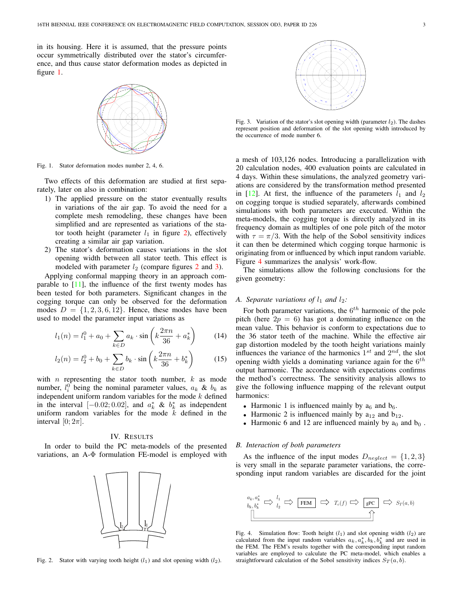in its housing. Here it is assumed, that the pressure points occur symmetrically distributed over the stator's circumference, and thus cause stator deformation modes as depicted in figure [1.](#page-3-1)



<span id="page-3-1"></span>Fig. 1. Stator deformation modes number 2, 4, 6.

Two effects of this deformation are studied at first separately, later on also in combination:

- 1) The applied pressure on the stator eventually results in variations of the air gap. To avoid the need for a complete mesh remodeling, these changes have been simplified and are represented as variations of the stator tooth height (parameter  $l_1$  in figure [2\)](#page-3-2), effectively creating a similar air gap variation.
- 2) The stator's deformation causes variations in the slot opening width between all stator teeth. This effect is modeled with parameter  $l_2$  $l_2$  (compare figures 2 and [3\)](#page-3-3).

Applying conformal mapping theory in an approach comparable to  $[11]$ , the influence of the first twenty modes has been tested for both parameters. Significant changes in the cogging torque can only be observed for the deformation modes  $D = \{1, 2, 3, 6, 12\}$ . Hence, these modes have been used to model the parameter input variations as

$$
l_1(n) = l_1^0 + a_0 + \sum_{k \in D} a_k \cdot \sin\left(k \frac{2\pi n}{36} + a_k^*\right) \tag{14}
$$

$$
l_2(n) = l_2^0 + b_0 + \sum_{k \in D} b_k \cdot \sin\left(k \frac{2\pi n}{36} + b_k^*\right) \tag{15}
$$

with  $n$  representing the stator tooth number,  $k$  as mode number,  $l_i^0$  being the nominal parameter values,  $a_k \& b_k$  as independent uniform random variables for the mode  $k$  defined in the interval  $[-0.02; 0.02]$ , and  $a_k^*$  &  $b_k^*$  as independent uniform random variables for the mode  $k$  defined in the interval  $[0; 2\pi]$ .

## IV. RESULTS

<span id="page-3-0"></span>In order to build the PC meta-models of the presented variations, an A-Φ formulation FE-model is employed with



<span id="page-3-2"></span>Fig. 2. Stator with varying tooth height  $(l_1)$  and slot opening width  $(l_2)$ .



<span id="page-3-3"></span>Fig. 3. Variation of the stator's slot opening width (parameter  $l_2$ ). The dashes represent position and deformation of the slot opening width introduced by the occurrence of mode number 6.

a mesh of 103,126 nodes. Introducing a parallelization with 20 calculation nodes, 400 evaluation points are calculated in 4 days. Within these simulations, the analyzed geometry variations are considered by the transformation method presented in [\[12\]](#page-4-11). At first, the influence of the parameters  $l_1$  and  $l_2$ on cogging torque is studied separately, afterwards combined simulations with both parameters are executed. Within the meta-models, the cogging torque is directly analyzed in its frequency domain as multiples of one pole pitch of the motor with  $\tau = \pi/3$ . With the help of the Sobol sensitivity indices it can then be determined which cogging torque harmonic is originating from or influenced by which input random variable. Figure [4](#page-3-4) summarizes the analysis' work-flow.

The simulations allow the following conclusions for the given geometry:

# *A. Separate variations of*  $l_1$  *and*  $l_2$ *:*

For both parameter variations, the  $6^{th}$  harmonic of the pole pitch (here  $2p = 6$ ) has got a dominating influence on the mean value. This behavior is conform to expectations due to the 36 stator teeth of the machine. While the effective air gap distortion modeled by the tooth height variations mainly influences the variance of the harmonics  $1^{st}$  and  $2^{nd}$ , the slot opening width yields a dominating variance again for the  $6^{th}$ output harmonic. The accordance with expectations confirms the method's correctness. The sensitivity analysis allows to give the following influence mapping of the relevant output harmonics:

- Harmonic 1 is influenced mainly by  $a_6$  and  $b_6$ .
- Harmonic 2 is influenced mainly by  $a_{12}$  and  $b_{12}$ .
- Harmonic 6 and 12 are influenced mainly by  $a_0$  and  $b_0$ .

#### *B. Interaction of both parameters*

As the influence of the input modes  $D_{neglect} = \{1, 2, 3\}$ is very small in the separate parameter variations, the corresponding input random variables are discarded for the joint



<span id="page-3-4"></span>Fig. 4. Simulation flow: Tooth height  $(l_1)$  and slot opening width  $(l_2)$  are calculated from the input random variables  $a_k, a_k^*, b_k, b_k^*$  and are used in the FEM. The FEM's results together with the corresponding input random variables are employed to calculate the PC meta-model, which enables a straightforward calculation of the Sobol sensitivity indices  $S_T(a, b)$ .